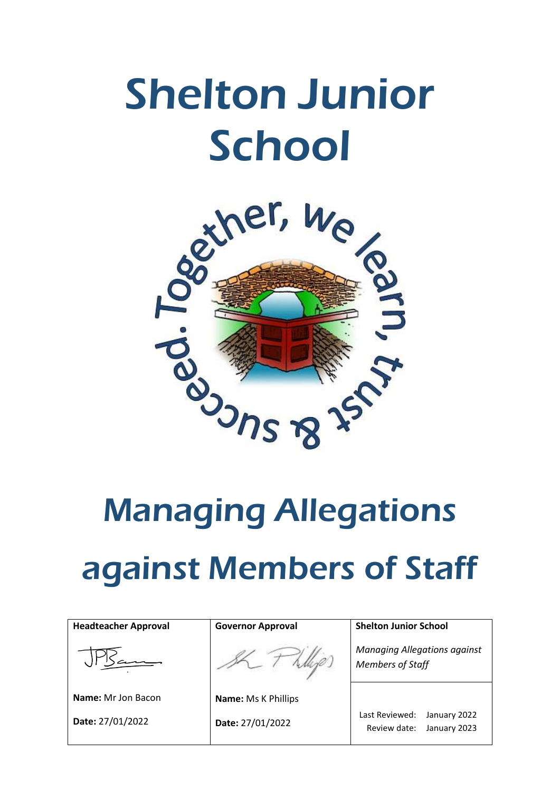# Shelton Junior School



## Managing Allegations against Members of Staff

| <b>Headteacher Approval</b> | <b>Governor Approval</b>   | <b>Shelton Junior School</b>                                   |
|-----------------------------|----------------------------|----------------------------------------------------------------|
|                             |                            | <b>Managing Allegations against</b><br><b>Members of Staff</b> |
| <b>Name:</b> Mr Jon Bacon   | <b>Name:</b> Ms K Phillips |                                                                |
| Date: 27/01/2022            | Date: 27/01/2022           | Last Reviewed:<br>January 2022<br>Review date:<br>January 2023 |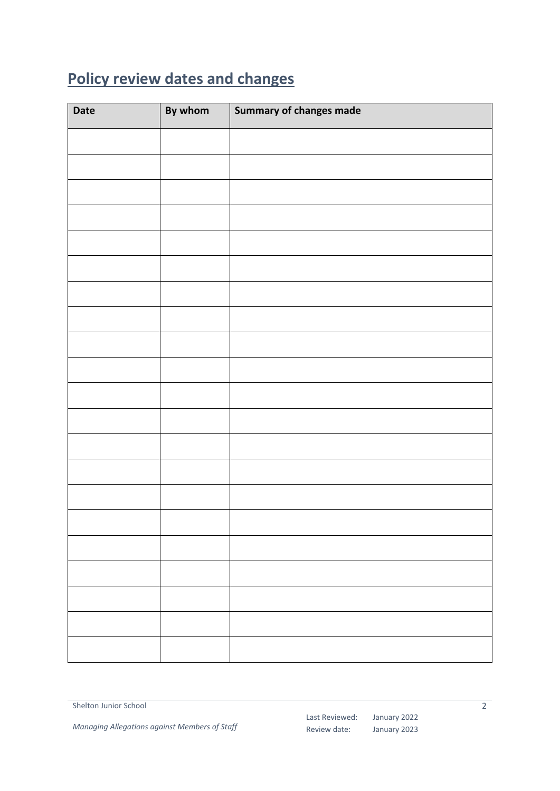## <span id="page-1-0"></span>**Policy review dates and changes**

| <b>Date</b> | By whom | Summary of changes made |
|-------------|---------|-------------------------|
|             |         |                         |
|             |         |                         |
|             |         |                         |
|             |         |                         |
|             |         |                         |
|             |         |                         |
|             |         |                         |
|             |         |                         |
|             |         |                         |
|             |         |                         |
|             |         |                         |
|             |         |                         |
|             |         |                         |
|             |         |                         |
|             |         |                         |
|             |         |                         |
|             |         |                         |
|             |         |                         |
|             |         |                         |
|             |         |                         |
|             |         |                         |

Last Reviewed: Review date: January 2022 January 2023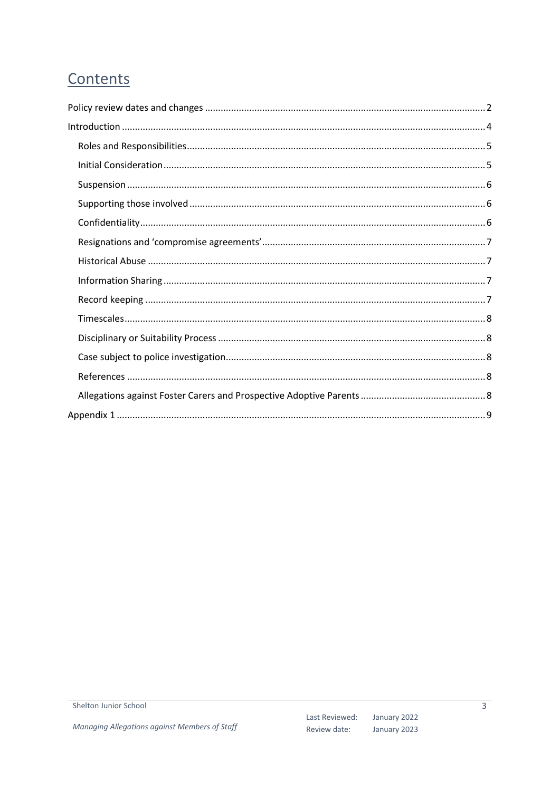## Contents

 $\overline{3}$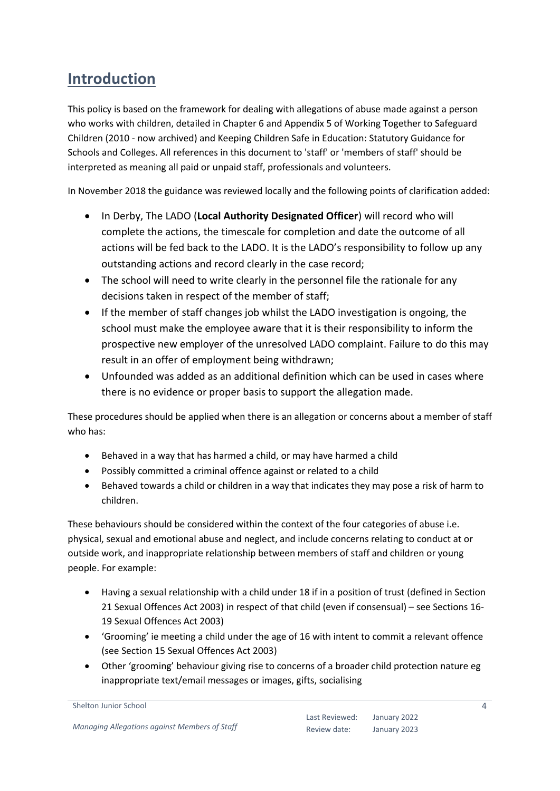## <span id="page-3-0"></span>**Introduction**

This policy is based on the framework for dealing with allegations of abuse made against a person who works with children, detailed in Chapter 6 and Appendix 5 of Working Together to Safeguard Children (2010 - now archived) and [Keeping Children Safe in Education: Statutory Guidance for](https://www.gov.uk/government/publications/keeping-children-safe-in-education--2)  [Schools and Colleges.](https://www.gov.uk/government/publications/keeping-children-safe-in-education--2) All references in this document to 'staff' or 'members of staff' should be interpreted as meaning all paid or unpaid staff, professionals and volunteers.

In November 2018 the guidance was reviewed locally and the following points of clarification added:

- In Derby, The LADO (**Local Authority Designated Officer**) will record who will complete the actions, the timescale for completion and date the outcome of all actions will be fed back to the LADO. It is the LADO's responsibility to follow up any outstanding actions and record clearly in the case record;
- The school will need to write clearly in the personnel file the rationale for any decisions taken in respect of the member of staff;
- If the member of staff changes job whilst the LADO investigation is ongoing, the school must make the employee aware that it is their responsibility to inform the prospective new employer of the unresolved LADO complaint. Failure to do this may result in an offer of employment being withdrawn;
- Unfounded was added as an additional definition which can be used in cases where there is no evidence or proper basis to support the allegation made.

These procedures should be applied when there is an allegation or concerns about a member of staff who has:

- Behaved in a way that has harmed a child, or may have harmed a child
- Possibly committed a criminal offence against or related to a child
- Behaved towards a child or children in a way that indicates they may pose a risk of harm to children.

These behaviours should be considered within the context of the four categories of abuse i.e. physical, sexual and emotional abuse and neglect, and include concerns relating to conduct at or outside work, and inappropriate relationship between members of staff and children or young people. For example:

- Having a sexual relationship with a child under 18 if in a position of trust (defined in Section 21 Sexual Offences Act 2003) in respect of that child (even if consensual) – see Sections 16- 19 Sexual Offences Act 2003)
- 'Grooming' ie meeting a child under the age of 16 with intent to commit a relevant offence (see Section 15 Sexual Offences Act 2003)
- Other 'grooming' behaviour giving rise to concerns of a broader child protection nature eg inappropriate text/email messages or images, gifts, socialising

Shelton Junior School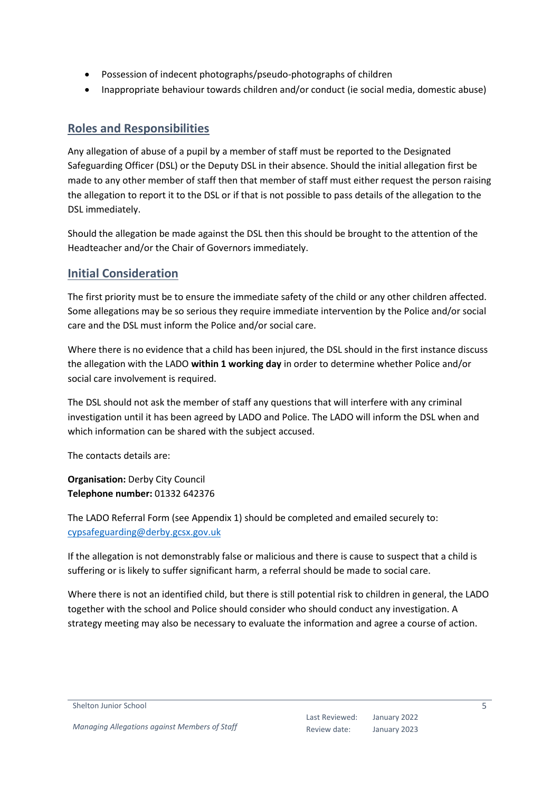- Possession of indecent photographs/pseudo-photographs of children
- Inappropriate behaviour towards children and/or conduct (ie social media, domestic abuse)

#### <span id="page-4-0"></span>**Roles and Responsibilities**

Any allegation of abuse of a pupil by a member of staff must be reported to the Designated Safeguarding Officer (DSL) or the Deputy DSL in their absence. Should the initial allegation first be made to any other member of staff then that member of staff must either request the person raising the allegation to report it to the DSL or if that is not possible to pass details of the allegation to the DSL immediately.

Should the allegation be made against the DSL then this should be brought to the attention of the Headteacher and/or the Chair of Governors immediately.

#### <span id="page-4-1"></span>**Initial Consideration**

The first priority must be to ensure the immediate safety of the child or any other children affected. Some allegations may be so serious they require immediate intervention by the Police and/or social care and the DSL must inform the Police and/or social care.

Where there is no evidence that a child has been injured, the DSL should in the first instance discuss the allegation with the LADO **within 1 working day** in order to determine whether Police and/or social care involvement is required.

The DSL should not ask the member of staff any questions that will interfere with any criminal investigation until it has been agreed by LADO and Police. The LADO will inform the DSL when and which information can be shared with the subject accused.

The contacts details are:

**Organisation:** Derby City Council **Telephone number:** 01332 642376

The LADO Referral Form (see Appendix 1) should be completed and emailed securely to: [cypsafeguarding@derby.gcsx.gov.uk](mailto:cypsafeguarding@derby.gcsx.gov.uk)

If the allegation is not demonstrably false or malicious and there is cause to suspect that a child is suffering or is likely to suffer significant harm, a referral should be made to social care.

Where there is not an identified child, but there is still potential risk to children in general, the LADO together with the school and Police should consider who should conduct any investigation. A strategy meeting may also be necessary to evaluate the information and agree a course of action.

Shelton Junior School

5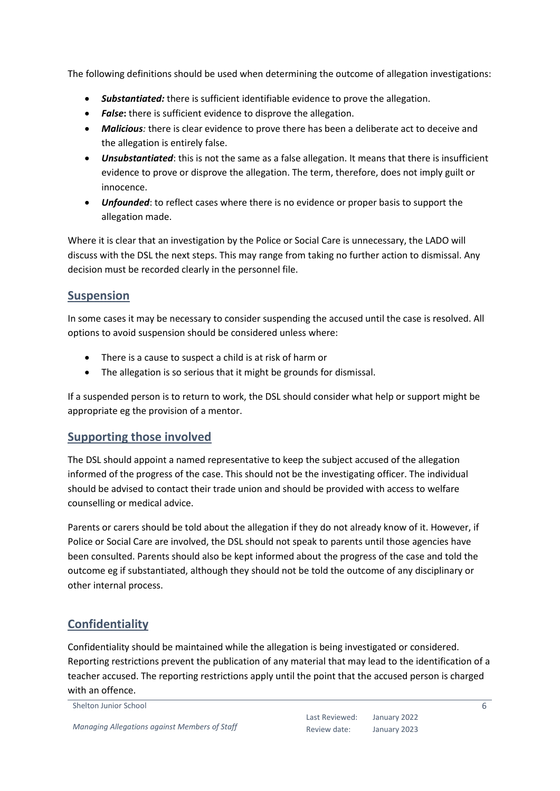The following definitions should be used when determining the outcome of allegation investigations:

- *Substantiated:* there is sufficient identifiable evidence to prove the allegation.
- *False***:** there is sufficient evidence to disprove the allegation.
- *Malicious:* there is clear evidence to prove there has been a deliberate act to deceive and the allegation is entirely false.
- *Unsubstantiated*: this is not the same as a false allegation. It means that there is insufficient evidence to prove or disprove the allegation. The term, therefore, does not imply guilt or innocence.
- *Unfounded*: to reflect cases where there is no evidence or proper basis to support the allegation made.

Where it is clear that an investigation by the Police or Social Care is unnecessary, the LADO will discuss with the DSL the next steps. This may range from taking no further action to dismissal. Any decision must be recorded clearly in the personnel file.

#### <span id="page-5-0"></span>**Suspension**

In some cases it may be necessary to consider suspending the accused until the case is resolved. All options to avoid suspension should be considered unless where:

- There is a cause to suspect a child is at risk of harm or
- The allegation is so serious that it might be grounds for dismissal.

If a suspended person is to return to work, the DSL should consider what help or support might be appropriate eg the provision of a mentor.

#### <span id="page-5-1"></span>**Supporting those involved**

The DSL should appoint a named representative to keep the subject accused of the allegation informed of the progress of the case. This should not be the investigating officer. The individual should be advised to contact their trade union and should be provided with access to welfare counselling or medical advice.

Parents or carers should be told about the allegation if they do not already know of it. However, if Police or Social Care are involved, the DSL should not speak to parents until those agencies have been consulted. Parents should also be kept informed about the progress of the case and told the outcome eg if substantiated, although they should not be told the outcome of any disciplinary or other internal process.

#### <span id="page-5-2"></span>**Confidentiality**

Confidentiality should be maintained while the allegation is being investigated or considered. Reporting restrictions prevent the publication of any material that may lead to the identification of a teacher accused. The reporting restrictions apply until the point that the accused person is charged with an offence.

Shelton Junior School

Last Reviewed: Review date: January 2022 January 2023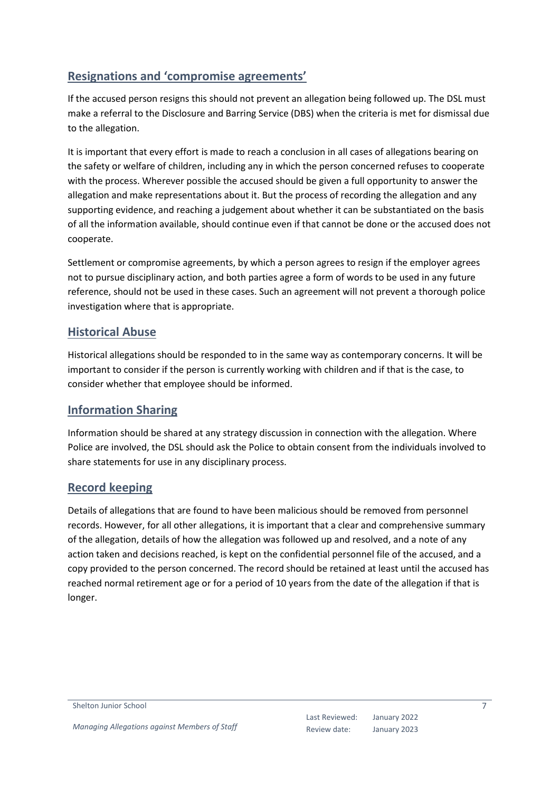#### <span id="page-6-0"></span>**Resignations and 'compromise agreements'**

If the accused person resigns this should not prevent an allegation being followed up. The DSL must make a referral to the Disclosure and Barring Service (DBS) when the criteria is met for dismissal due to the allegation.

It is important that every effort is made to reach a conclusion in all cases of allegations bearing on the safety or welfare of children, including any in which the person concerned refuses to cooperate with the process. Wherever possible the accused should be given a full opportunity to answer the allegation and make representations about it. But the process of recording the allegation and any supporting evidence, and reaching a judgement about whether it can be substantiated on the basis of all the information available, should continue even if that cannot be done or the accused does not cooperate.

Settlement or compromise agreements, by which a person agrees to resign if the employer agrees not to pursue disciplinary action, and both parties agree a form of words to be used in any future reference, should not be used in these cases. Such an agreement will not prevent a thorough police investigation where that is appropriate.

#### <span id="page-6-1"></span>**Historical Abuse**

Historical allegations should be responded to in the same way as contemporary concerns. It will be important to consider if the person is currently working with children and if that is the case, to consider whether that employee should be informed.

#### <span id="page-6-2"></span>**Information Sharing**

Information should be shared at any strategy discussion in connection with the allegation. Where Police are involved, the DSL should ask the Police to obtain consent from the individuals involved to share statements for use in any disciplinary process.

#### <span id="page-6-3"></span>**Record keeping**

Details of allegations that are found to have been malicious should be removed from personnel records. However, for all other allegations, it is important that a clear and comprehensive summary of the allegation, details of how the allegation was followed up and resolved, and a note of any action taken and decisions reached, is kept on the confidential personnel file of the accused, and a copy provided to the person concerned. The record should be retained at least until the accused has reached normal retirement age or for a period of 10 years from the date of the allegation if that is longer.

 $\overline{7}$ 

Shelton Junior School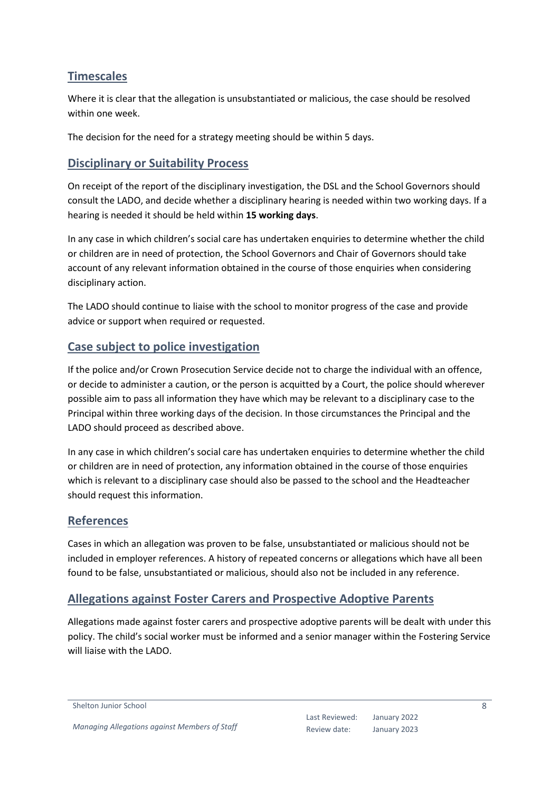#### <span id="page-7-0"></span>**Timescales**

Where it is clear that the allegation is unsubstantiated or malicious, the case should be resolved within one week.

The decision for the need for a strategy meeting should be within 5 days.

#### <span id="page-7-1"></span>**Disciplinary or Suitability Process**

On receipt of the report of the disciplinary investigation, the DSL and the School Governors should consult the LADO, and decide whether a disciplinary hearing is needed within two working days. If a hearing is needed it should be held within **15 working days**.

In any case in which children's social care has undertaken enquiries to determine whether the child or children are in need of protection, the School Governors and Chair of Governors should take account of any relevant information obtained in the course of those enquiries when considering disciplinary action.

The LADO should continue to liaise with the school to monitor progress of the case and provide advice or support when required or requested.

#### <span id="page-7-2"></span>**Case subject to police investigation**

If the police and/or Crown Prosecution Service decide not to charge the individual with an offence, or decide to administer a caution, or the person is acquitted by a Court, the police should wherever possible aim to pass all information they have which may be relevant to a disciplinary case to the Principal within three working days of the decision. In those circumstances the Principal and the LADO should proceed as described above.

In any case in which children's social care has undertaken enquiries to determine whether the child or children are in need of protection, any information obtained in the course of those enquiries which is relevant to a disciplinary case should also be passed to the school and the Headteacher should request this information.

#### <span id="page-7-3"></span>**References**

Cases in which an allegation was proven to be false, unsubstantiated or malicious should not be included in employer references. A history of repeated concerns or allegations which have all been found to be false, unsubstantiated or malicious, should also not be included in any reference.

#### <span id="page-7-4"></span>**Allegations against Foster Carers and Prospective Adoptive Parents**

Allegations made against foster carers and prospective adoptive parents will be dealt with under this policy. The child's social worker must be informed and a senior manager within the Fostering Service will liaise with the LADO.

Shelton Junior School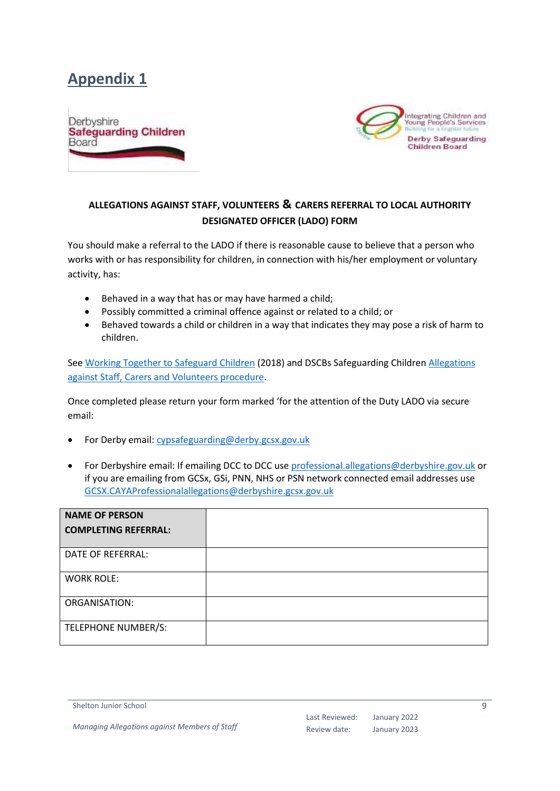### <span id="page-8-0"></span>**Appendix 1**





#### **ALLEGATIONS AGAINST STAFF, VOLUNTEERS & CARERS REFERRAL TO LOCAL AUTHORITY DESIGNATED OFFICER (LADO) FORM**

You should make a referral to the LADO if there is reasonable cause to believe that a person who works with or has responsibility for children, in connection with his/her employment or voluntary activity, has:

- Behaved in a way that has or may have harmed a child;
- Possibly committed a criminal offence against or related to a child; or
- Behaved towards a child or children in a way that indicates they may pose a risk of harm to children.

Se[e Working Together to Safeguard Children](https://www.gov.uk/government/publications/working-together-to-safeguard-children--2) (2018) and DSCBs Safeguarding Children Allegations [against Staff, Carers and Volunteers procedure.](http://derbyshirescbs.proceduresonline.com/p_alleg_staff_carer_volunteer.html)

Once completed please return your form marked 'for the attention of the Duty LADO via secure email:

- For Derby email[: cypsafeguarding@derby.gcsx.gov.uk](mailto:cypsafeguarding@derby.gcsx.gov.uk)
- For Derbyshire email: If emailing DCC to DCC us[e professional.allegations@derbyshire.gov.uk](mailto:professional.allegations@derbyshire.gov.uk) or if you are emailing from GCSx, GSi, PNN, NHS or PSN network connected email addresses use [GCSX.CAYAProfessionalallegations@derbyshire.gcsx.gov.uk](mailto:GCSX.CAYAProfessionalallegations@derbyshire.gcsx.gov.uk)

| <b>NAME OF PERSON</b>       |  |
|-----------------------------|--|
| <b>COMPLETING REFERRAL:</b> |  |
| DATE OF REFERRAL:           |  |
| <b>WORK ROLE:</b>           |  |
| ORGANISATION:               |  |
| TELEPHONE NUMBER/S:         |  |

Shelton Junior School

9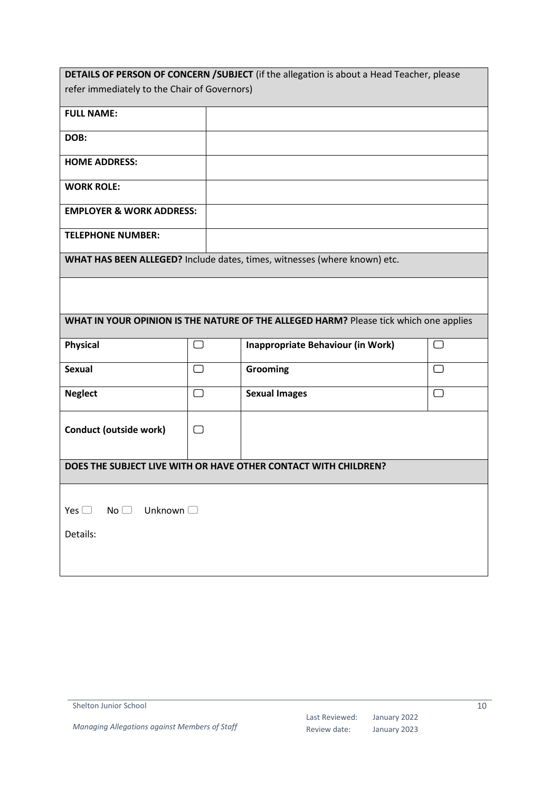| DETAILS OF PERSON OF CONCERN / SUBJECT (if the allegation is about a Head Teacher, please |        |                                                                                       |                     |
|-------------------------------------------------------------------------------------------|--------|---------------------------------------------------------------------------------------|---------------------|
| refer immediately to the Chair of Governors)                                              |        |                                                                                       |                     |
| <b>FULL NAME:</b>                                                                         |        |                                                                                       |                     |
| DOB:                                                                                      |        |                                                                                       |                     |
| <b>HOME ADDRESS:</b>                                                                      |        |                                                                                       |                     |
| <b>WORK ROLE:</b>                                                                         |        |                                                                                       |                     |
| <b>EMPLOYER &amp; WORK ADDRESS:</b>                                                       |        |                                                                                       |                     |
| <b>TELEPHONE NUMBER:</b>                                                                  |        |                                                                                       |                     |
|                                                                                           |        | WHAT HAS BEEN ALLEGED? Include dates, times, witnesses (where known) etc.             |                     |
|                                                                                           |        |                                                                                       |                     |
|                                                                                           |        | WHAT IN YOUR OPINION IS THE NATURE OF THE ALLEGED HARM? Please tick which one applies |                     |
| <b>Physical</b>                                                                           |        | <b>Inappropriate Behaviour (in Work)</b>                                              | $\lfloor$ $\rfloor$ |
| <b>Sexual</b>                                                                             | $\Box$ | Grooming                                                                              | $\Box$              |
| <b>Neglect</b>                                                                            | □      | <b>Sexual Images</b>                                                                  | $\Box$              |
| <b>Conduct (outside work)</b>                                                             | $\Box$ |                                                                                       |                     |
|                                                                                           |        | DOES THE SUBJECT LIVE WITH OR HAVE OTHER CONTACT WITH CHILDREN?                       |                     |
| Yes (<br>No<br>Unknown <sup>1</sup><br>$\cup$<br>Details:                                 |        |                                                                                       |                     |

Shelton Junior School

10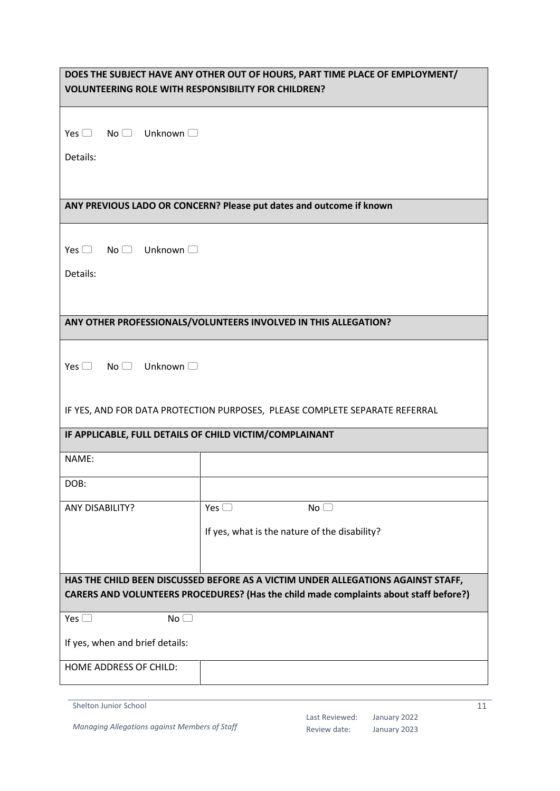| DOES THE SUBJECT HAVE ANY OTHER OUT OF HOURS, PART TIME PLACE OF EMPLOYMENT/<br><b>VOLUNTEERING ROLE WITH RESPONSIBILITY FOR CHILDREN?</b>                                |                                                                             |  |
|---------------------------------------------------------------------------------------------------------------------------------------------------------------------------|-----------------------------------------------------------------------------|--|
| Yes □ No □ Unknown □                                                                                                                                                      |                                                                             |  |
| Details:                                                                                                                                                                  |                                                                             |  |
|                                                                                                                                                                           |                                                                             |  |
|                                                                                                                                                                           | ANY PREVIOUS LADO OR CONCERN? Please put dates and outcome if known         |  |
| $Yes \Box \qquad No \Box$<br>Unknown $\Box$                                                                                                                               |                                                                             |  |
| Details:                                                                                                                                                                  |                                                                             |  |
|                                                                                                                                                                           |                                                                             |  |
|                                                                                                                                                                           | ANY OTHER PROFESSIONALS/VOLUNTEERS INVOLVED IN THIS ALLEGATION?             |  |
| Yes □ No □ Unknown □                                                                                                                                                      |                                                                             |  |
|                                                                                                                                                                           | IF YES, AND FOR DATA PROTECTION PURPOSES, PLEASE COMPLETE SEPARATE REFERRAL |  |
|                                                                                                                                                                           | IF APPLICABLE, FULL DETAILS OF CHILD VICTIM/COMPLAINANT                     |  |
| NAME:                                                                                                                                                                     |                                                                             |  |
| DOB:                                                                                                                                                                      |                                                                             |  |
| <b>ANY DISABILITY?</b>                                                                                                                                                    | Yes $\Box$<br>No <sub>1</sub>                                               |  |
|                                                                                                                                                                           | If yes, what is the nature of the disability?                               |  |
|                                                                                                                                                                           |                                                                             |  |
| HAS THE CHILD BEEN DISCUSSED BEFORE AS A VICTIM UNDER ALLEGATIONS AGAINST STAFF,<br>CARERS AND VOLUNTEERS PROCEDURES? (Has the child made complaints about staff before?) |                                                                             |  |
| Yes $\Box$<br>$No$ $\Box$                                                                                                                                                 |                                                                             |  |
| If yes, when and brief details:                                                                                                                                           |                                                                             |  |
| HOME ADDRESS OF CHILD:                                                                                                                                                    |                                                                             |  |
| Shelton Junior School                                                                                                                                                     | 11                                                                          |  |

*Managing Allegations against Members of Staff*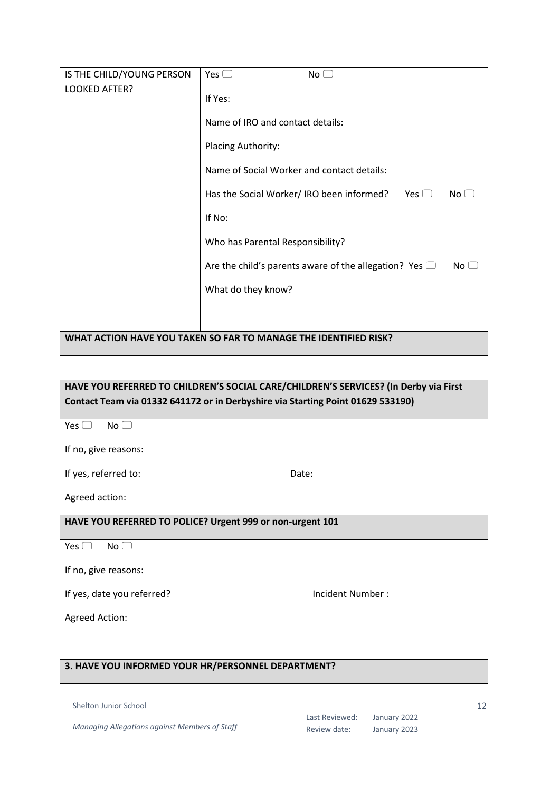| IS THE CHILD/YOUNG PERSON                          | Yes $\Box$<br>No <sub>1</sub>                                                                                                                                           |  |
|----------------------------------------------------|-------------------------------------------------------------------------------------------------------------------------------------------------------------------------|--|
| LOOKED AFTER?                                      | If Yes:                                                                                                                                                                 |  |
|                                                    |                                                                                                                                                                         |  |
|                                                    | Name of IRO and contact details:                                                                                                                                        |  |
|                                                    | Placing Authority:                                                                                                                                                      |  |
|                                                    | Name of Social Worker and contact details:                                                                                                                              |  |
|                                                    | Has the Social Worker/ IRO been informed?<br>Yes $\Box$<br>$\mathsf{No} \,\square$                                                                                      |  |
|                                                    | If No:                                                                                                                                                                  |  |
|                                                    | Who has Parental Responsibility?                                                                                                                                        |  |
|                                                    | Are the child's parents aware of the allegation? Yes $\Box$<br>No (                                                                                                     |  |
|                                                    | What do they know?                                                                                                                                                      |  |
|                                                    |                                                                                                                                                                         |  |
|                                                    | WHAT ACTION HAVE YOU TAKEN SO FAR TO MANAGE THE IDENTIFIED RISK?                                                                                                        |  |
|                                                    |                                                                                                                                                                         |  |
|                                                    |                                                                                                                                                                         |  |
|                                                    | HAVE YOU REFERRED TO CHILDREN'S SOCIAL CARE/CHILDREN'S SERVICES? (In Derby via First<br>Contact Team via 01332 641172 or in Derbyshire via Starting Point 01629 533190) |  |
| No<br>Yes $\Box$                                   |                                                                                                                                                                         |  |
| If no, give reasons:                               |                                                                                                                                                                         |  |
| If yes, referred to:                               | Date:                                                                                                                                                                   |  |
| Agreed action:                                     |                                                                                                                                                                         |  |
|                                                    | HAVE YOU REFERRED TO POLICE? Urgent 999 or non-urgent 101                                                                                                               |  |
|                                                    |                                                                                                                                                                         |  |
| Yes $\Box$<br>$No$ $\Box$                          |                                                                                                                                                                         |  |
| If no, give reasons:                               |                                                                                                                                                                         |  |
| If yes, date you referred?                         | Incident Number:                                                                                                                                                        |  |
| <b>Agreed Action:</b>                              |                                                                                                                                                                         |  |
|                                                    |                                                                                                                                                                         |  |
| 3. HAVE YOU INFORMED YOUR HR/PERSONNEL DEPARTMENT? |                                                                                                                                                                         |  |

Shelton Junior School

Last Reviewed: Review date: January 2022 January 2023